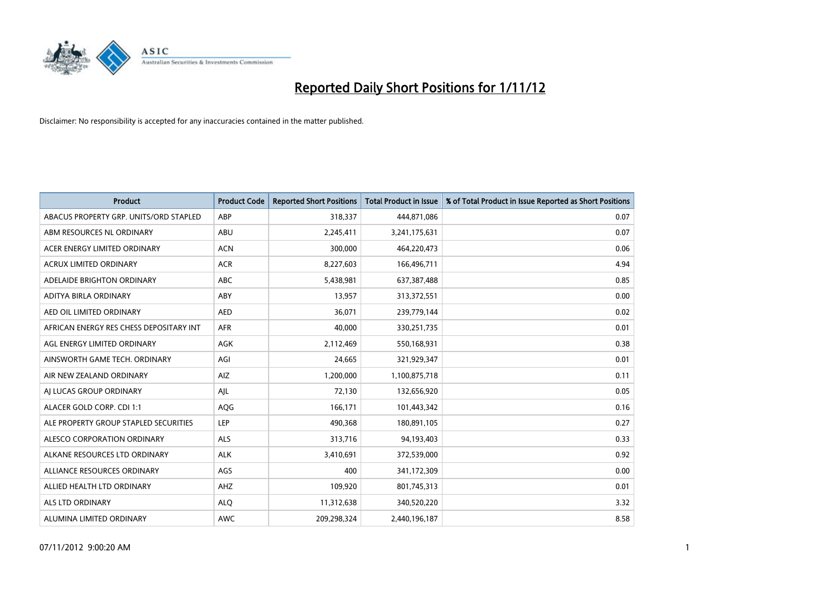

| <b>Product</b>                          | <b>Product Code</b> | <b>Reported Short Positions</b> | <b>Total Product in Issue</b> | % of Total Product in Issue Reported as Short Positions |
|-----------------------------------------|---------------------|---------------------------------|-------------------------------|---------------------------------------------------------|
| ABACUS PROPERTY GRP. UNITS/ORD STAPLED  | ABP                 | 318,337                         | 444,871,086                   | 0.07                                                    |
| ABM RESOURCES NL ORDINARY               | ABU                 | 2,245,411                       | 3,241,175,631                 | 0.07                                                    |
| ACER ENERGY LIMITED ORDINARY            | <b>ACN</b>          | 300,000                         | 464,220,473                   | 0.06                                                    |
| ACRUX LIMITED ORDINARY                  | <b>ACR</b>          | 8,227,603                       | 166,496,711                   | 4.94                                                    |
| ADELAIDE BRIGHTON ORDINARY              | <b>ABC</b>          | 5,438,981                       | 637,387,488                   | 0.85                                                    |
| ADITYA BIRLA ORDINARY                   | ABY                 | 13,957                          | 313,372,551                   | 0.00                                                    |
| AED OIL LIMITED ORDINARY                | <b>AED</b>          | 36.071                          | 239,779,144                   | 0.02                                                    |
| AFRICAN ENERGY RES CHESS DEPOSITARY INT | <b>AFR</b>          | 40,000                          | 330,251,735                   | 0.01                                                    |
| AGL ENERGY LIMITED ORDINARY             | <b>AGK</b>          | 2,112,469                       | 550,168,931                   | 0.38                                                    |
| AINSWORTH GAME TECH. ORDINARY           | AGI                 | 24,665                          | 321,929,347                   | 0.01                                                    |
| AIR NEW ZEALAND ORDINARY                | AIZ                 | 1,200,000                       | 1,100,875,718                 | 0.11                                                    |
| AI LUCAS GROUP ORDINARY                 | AJL                 | 72,130                          | 132,656,920                   | 0.05                                                    |
| ALACER GOLD CORP. CDI 1:1               | <b>AQG</b>          | 166,171                         | 101,443,342                   | 0.16                                                    |
| ALE PROPERTY GROUP STAPLED SECURITIES   | LEP                 | 490.368                         | 180,891,105                   | 0.27                                                    |
| ALESCO CORPORATION ORDINARY             | <b>ALS</b>          | 313,716                         | 94,193,403                    | 0.33                                                    |
| ALKANE RESOURCES LTD ORDINARY           | <b>ALK</b>          | 3,410,691                       | 372,539,000                   | 0.92                                                    |
| ALLIANCE RESOURCES ORDINARY             | AGS                 | 400                             | 341,172,309                   | 0.00                                                    |
| ALLIED HEALTH LTD ORDINARY              | AHZ                 | 109,920                         | 801,745,313                   | 0.01                                                    |
| <b>ALS LTD ORDINARY</b>                 | <b>ALQ</b>          | 11,312,638                      | 340,520,220                   | 3.32                                                    |
| ALUMINA LIMITED ORDINARY                | <b>AWC</b>          | 209,298,324                     | 2,440,196,187                 | 8.58                                                    |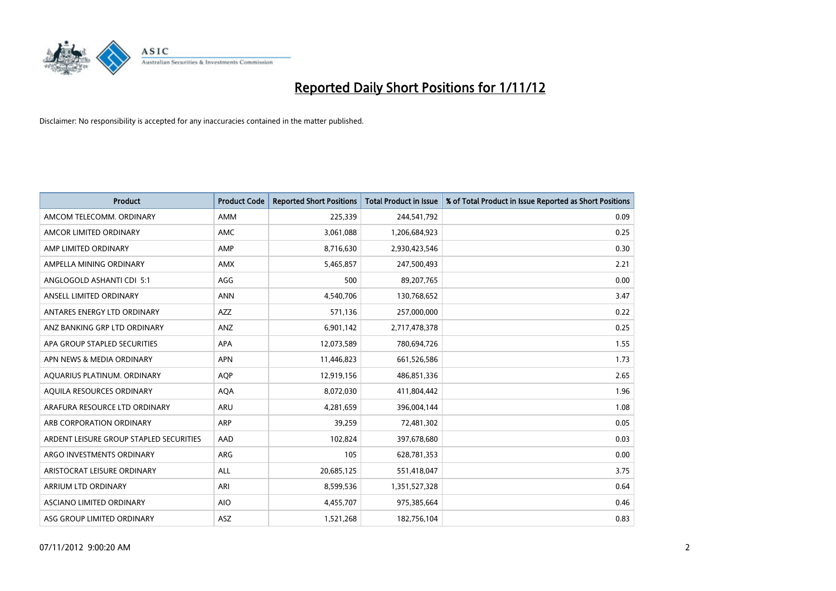

| <b>Product</b>                          | <b>Product Code</b> | <b>Reported Short Positions</b> | <b>Total Product in Issue</b> | % of Total Product in Issue Reported as Short Positions |
|-----------------------------------------|---------------------|---------------------------------|-------------------------------|---------------------------------------------------------|
| AMCOM TELECOMM, ORDINARY                | <b>AMM</b>          | 225,339                         | 244,541,792                   | 0.09                                                    |
| AMCOR LIMITED ORDINARY                  | <b>AMC</b>          | 3,061,088                       | 1,206,684,923                 | 0.25                                                    |
| AMP LIMITED ORDINARY                    | AMP                 | 8,716,630                       | 2,930,423,546                 | 0.30                                                    |
| AMPELLA MINING ORDINARY                 | <b>AMX</b>          | 5,465,857                       | 247,500,493                   | 2.21                                                    |
| ANGLOGOLD ASHANTI CDI 5:1               | AGG                 | 500                             | 89,207,765                    | 0.00                                                    |
| ANSELL LIMITED ORDINARY                 | <b>ANN</b>          | 4,540,706                       | 130,768,652                   | 3.47                                                    |
| ANTARES ENERGY LTD ORDINARY             | <b>AZZ</b>          | 571.136                         | 257,000,000                   | 0.22                                                    |
| ANZ BANKING GRP LTD ORDINARY            | ANZ                 | 6,901,142                       | 2,717,478,378                 | 0.25                                                    |
| APA GROUP STAPLED SECURITIES            | <b>APA</b>          | 12,073,589                      | 780,694,726                   | 1.55                                                    |
| APN NEWS & MEDIA ORDINARY               | <b>APN</b>          | 11,446,823                      | 661,526,586                   | 1.73                                                    |
| AQUARIUS PLATINUM. ORDINARY             | <b>AOP</b>          | 12,919,156                      | 486,851,336                   | 2.65                                                    |
| AQUILA RESOURCES ORDINARY               | <b>AQA</b>          | 8,072,030                       | 411,804,442                   | 1.96                                                    |
| ARAFURA RESOURCE LTD ORDINARY           | <b>ARU</b>          | 4,281,659                       | 396,004,144                   | 1.08                                                    |
| ARB CORPORATION ORDINARY                | ARP                 | 39.259                          | 72,481,302                    | 0.05                                                    |
| ARDENT LEISURE GROUP STAPLED SECURITIES | AAD                 | 102,824                         | 397,678,680                   | 0.03                                                    |
| ARGO INVESTMENTS ORDINARY               | <b>ARG</b>          | 105                             | 628,781,353                   | 0.00                                                    |
| ARISTOCRAT LEISURE ORDINARY             | <b>ALL</b>          | 20,685,125                      | 551,418,047                   | 3.75                                                    |
| ARRIUM LTD ORDINARY                     | ARI                 | 8,599,536                       | 1,351,527,328                 | 0.64                                                    |
| <b>ASCIANO LIMITED ORDINARY</b>         | <b>AIO</b>          | 4,455,707                       | 975,385,664                   | 0.46                                                    |
| ASG GROUP LIMITED ORDINARY              | <b>ASZ</b>          | 1,521,268                       | 182,756,104                   | 0.83                                                    |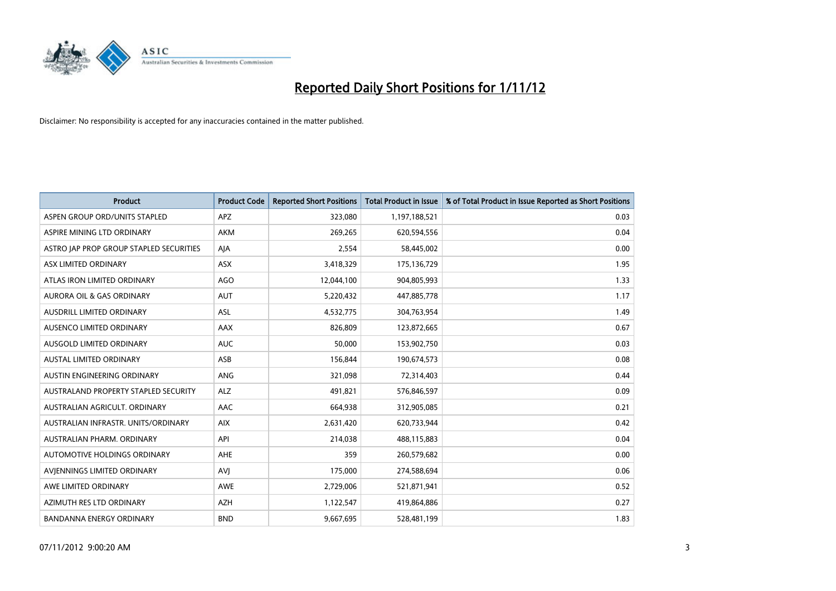

| <b>Product</b>                              | <b>Product Code</b> | <b>Reported Short Positions</b> | <b>Total Product in Issue</b> | % of Total Product in Issue Reported as Short Positions |
|---------------------------------------------|---------------------|---------------------------------|-------------------------------|---------------------------------------------------------|
| ASPEN GROUP ORD/UNITS STAPLED               | APZ                 | 323,080                         | 1,197,188,521                 | 0.03                                                    |
| ASPIRE MINING LTD ORDINARY                  | <b>AKM</b>          | 269,265                         | 620,594,556                   | 0.04                                                    |
| ASTRO JAP PROP GROUP STAPLED SECURITIES     | AJA                 | 2,554                           | 58,445,002                    | 0.00                                                    |
| ASX LIMITED ORDINARY                        | ASX                 | 3,418,329                       | 175,136,729                   | 1.95                                                    |
| ATLAS IRON LIMITED ORDINARY                 | <b>AGO</b>          | 12,044,100                      | 904,805,993                   | 1.33                                                    |
| AURORA OIL & GAS ORDINARY                   | <b>AUT</b>          | 5,220,432                       | 447,885,778                   | 1.17                                                    |
| AUSDRILL LIMITED ORDINARY                   | <b>ASL</b>          | 4,532,775                       | 304,763,954                   | 1.49                                                    |
| <b>AUSENCO LIMITED ORDINARY</b>             | <b>AAX</b>          | 826,809                         | 123,872,665                   | 0.67                                                    |
| AUSGOLD LIMITED ORDINARY                    | <b>AUC</b>          | 50,000                          | 153,902,750                   | 0.03                                                    |
| <b>AUSTAL LIMITED ORDINARY</b>              | ASB                 | 156,844                         | 190,674,573                   | 0.08                                                    |
| AUSTIN ENGINEERING ORDINARY                 | ANG                 | 321,098                         | 72,314,403                    | 0.44                                                    |
| <b>AUSTRALAND PROPERTY STAPLED SECURITY</b> | <b>ALZ</b>          | 491,821                         | 576,846,597                   | 0.09                                                    |
| AUSTRALIAN AGRICULT, ORDINARY               | <b>AAC</b>          | 664,938                         | 312,905,085                   | 0.21                                                    |
| AUSTRALIAN INFRASTR, UNITS/ORDINARY         | <b>AIX</b>          | 2,631,420                       | 620,733,944                   | 0.42                                                    |
| AUSTRALIAN PHARM. ORDINARY                  | API                 | 214,038                         | 488,115,883                   | 0.04                                                    |
| AUTOMOTIVE HOLDINGS ORDINARY                | AHE                 | 359                             | 260,579,682                   | 0.00                                                    |
| AVIENNINGS LIMITED ORDINARY                 | AVI                 | 175,000                         | 274,588,694                   | 0.06                                                    |
| AWE LIMITED ORDINARY                        | <b>AWE</b>          | 2,729,006                       | 521,871,941                   | 0.52                                                    |
| AZIMUTH RES LTD ORDINARY                    | <b>AZH</b>          | 1,122,547                       | 419,864,886                   | 0.27                                                    |
| <b>BANDANNA ENERGY ORDINARY</b>             | <b>BND</b>          | 9,667,695                       | 528,481,199                   | 1.83                                                    |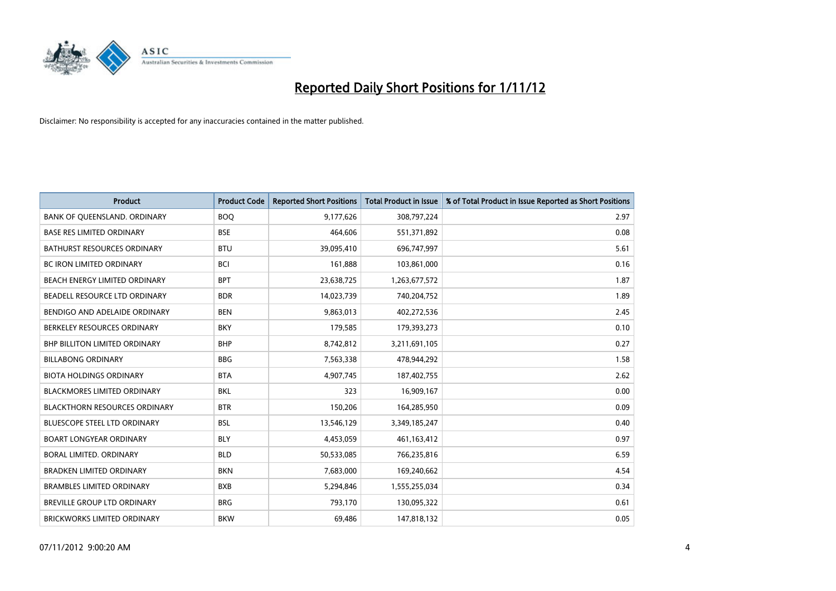

| <b>Product</b>                       | <b>Product Code</b> | <b>Reported Short Positions</b> | <b>Total Product in Issue</b> | % of Total Product in Issue Reported as Short Positions |
|--------------------------------------|---------------------|---------------------------------|-------------------------------|---------------------------------------------------------|
| BANK OF QUEENSLAND. ORDINARY         | <b>BOO</b>          | 9,177,626                       | 308,797,224                   | 2.97                                                    |
| <b>BASE RES LIMITED ORDINARY</b>     | <b>BSE</b>          | 464,606                         | 551,371,892                   | 0.08                                                    |
| <b>BATHURST RESOURCES ORDINARY</b>   | <b>BTU</b>          | 39,095,410                      | 696,747,997                   | 5.61                                                    |
| BC IRON LIMITED ORDINARY             | <b>BCI</b>          | 161,888                         | 103,861,000                   | 0.16                                                    |
| BEACH ENERGY LIMITED ORDINARY        | <b>BPT</b>          | 23,638,725                      | 1,263,677,572                 | 1.87                                                    |
| BEADELL RESOURCE LTD ORDINARY        | <b>BDR</b>          | 14,023,739                      | 740,204,752                   | 1.89                                                    |
| BENDIGO AND ADELAIDE ORDINARY        | <b>BEN</b>          | 9,863,013                       | 402,272,536                   | 2.45                                                    |
| BERKELEY RESOURCES ORDINARY          | <b>BKY</b>          | 179,585                         | 179,393,273                   | 0.10                                                    |
| <b>BHP BILLITON LIMITED ORDINARY</b> | <b>BHP</b>          | 8,742,812                       | 3,211,691,105                 | 0.27                                                    |
| <b>BILLABONG ORDINARY</b>            | <b>BBG</b>          | 7,563,338                       | 478,944,292                   | 1.58                                                    |
| <b>BIOTA HOLDINGS ORDINARY</b>       | <b>BTA</b>          | 4,907,745                       | 187,402,755                   | 2.62                                                    |
| <b>BLACKMORES LIMITED ORDINARY</b>   | <b>BKL</b>          | 323                             | 16,909,167                    | 0.00                                                    |
| <b>BLACKTHORN RESOURCES ORDINARY</b> | <b>BTR</b>          | 150,206                         | 164,285,950                   | 0.09                                                    |
| BLUESCOPE STEEL LTD ORDINARY         | <b>BSL</b>          | 13,546,129                      | 3,349,185,247                 | 0.40                                                    |
| <b>BOART LONGYEAR ORDINARY</b>       | <b>BLY</b>          | 4,453,059                       | 461,163,412                   | 0.97                                                    |
| BORAL LIMITED. ORDINARY              | <b>BLD</b>          | 50,533,085                      | 766,235,816                   | 6.59                                                    |
| <b>BRADKEN LIMITED ORDINARY</b>      | <b>BKN</b>          | 7,683,000                       | 169,240,662                   | 4.54                                                    |
| <b>BRAMBLES LIMITED ORDINARY</b>     | <b>BXB</b>          | 5,294,846                       | 1,555,255,034                 | 0.34                                                    |
| <b>BREVILLE GROUP LTD ORDINARY</b>   | <b>BRG</b>          | 793,170                         | 130,095,322                   | 0.61                                                    |
| BRICKWORKS LIMITED ORDINARY          | <b>BKW</b>          | 69,486                          | 147,818,132                   | 0.05                                                    |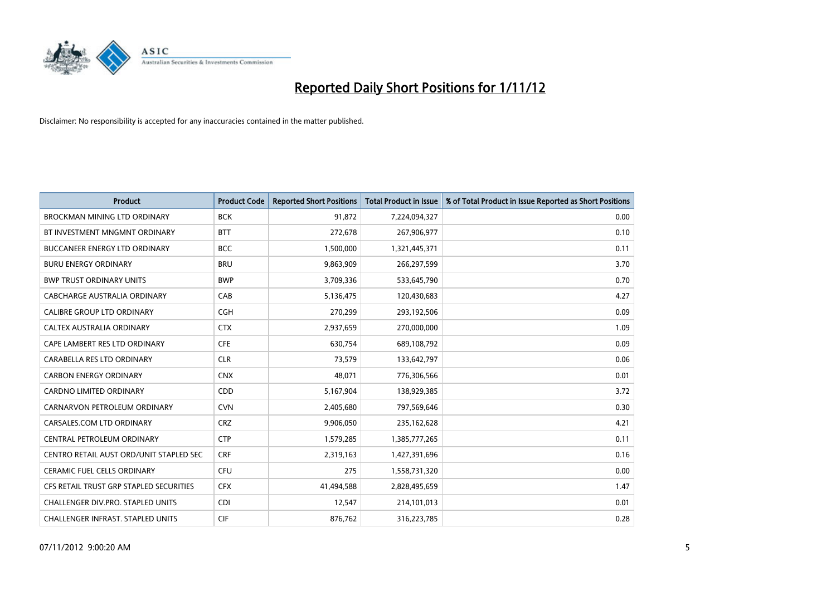

| <b>Product</b>                          | <b>Product Code</b> | <b>Reported Short Positions</b> | <b>Total Product in Issue</b> | % of Total Product in Issue Reported as Short Positions |
|-----------------------------------------|---------------------|---------------------------------|-------------------------------|---------------------------------------------------------|
| <b>BROCKMAN MINING LTD ORDINARY</b>     | <b>BCK</b>          | 91,872                          | 7,224,094,327                 | 0.00                                                    |
| BT INVESTMENT MNGMNT ORDINARY           | <b>BTT</b>          | 272,678                         | 267,906,977                   | 0.10                                                    |
| <b>BUCCANEER ENERGY LTD ORDINARY</b>    | <b>BCC</b>          | 1,500,000                       | 1,321,445,371                 | 0.11                                                    |
| <b>BURU ENERGY ORDINARY</b>             | <b>BRU</b>          | 9,863,909                       | 266,297,599                   | 3.70                                                    |
| <b>BWP TRUST ORDINARY UNITS</b>         | <b>BWP</b>          | 3,709,336                       | 533,645,790                   | 0.70                                                    |
| CABCHARGE AUSTRALIA ORDINARY            | CAB                 | 5,136,475                       | 120,430,683                   | 4.27                                                    |
| <b>CALIBRE GROUP LTD ORDINARY</b>       | <b>CGH</b>          | 270,299                         | 293,192,506                   | 0.09                                                    |
| CALTEX AUSTRALIA ORDINARY               | <b>CTX</b>          | 2,937,659                       | 270,000,000                   | 1.09                                                    |
| CAPE LAMBERT RES LTD ORDINARY           | <b>CFE</b>          | 630,754                         | 689,108,792                   | 0.09                                                    |
| CARABELLA RES LTD ORDINARY              | <b>CLR</b>          | 73,579                          | 133,642,797                   | 0.06                                                    |
| <b>CARBON ENERGY ORDINARY</b>           | <b>CNX</b>          | 48,071                          | 776,306,566                   | 0.01                                                    |
| <b>CARDNO LIMITED ORDINARY</b>          | <b>CDD</b>          | 5,167,904                       | 138,929,385                   | 3.72                                                    |
| CARNARVON PETROLEUM ORDINARY            | <b>CVN</b>          | 2,405,680                       | 797,569,646                   | 0.30                                                    |
| CARSALES.COM LTD ORDINARY               | <b>CRZ</b>          | 9,906,050                       | 235, 162, 628                 | 4.21                                                    |
| CENTRAL PETROLEUM ORDINARY              | <b>CTP</b>          | 1,579,285                       | 1,385,777,265                 | 0.11                                                    |
| CENTRO RETAIL AUST ORD/UNIT STAPLED SEC | <b>CRF</b>          | 2,319,163                       | 1,427,391,696                 | 0.16                                                    |
| <b>CERAMIC FUEL CELLS ORDINARY</b>      | CFU                 | 275                             | 1,558,731,320                 | 0.00                                                    |
| CFS RETAIL TRUST GRP STAPLED SECURITIES | <b>CFX</b>          | 41,494,588                      | 2,828,495,659                 | 1.47                                                    |
| CHALLENGER DIV.PRO. STAPLED UNITS       | <b>CDI</b>          | 12,547                          | 214,101,013                   | 0.01                                                    |
| CHALLENGER INFRAST. STAPLED UNITS       | <b>CIF</b>          | 876,762                         | 316,223,785                   | 0.28                                                    |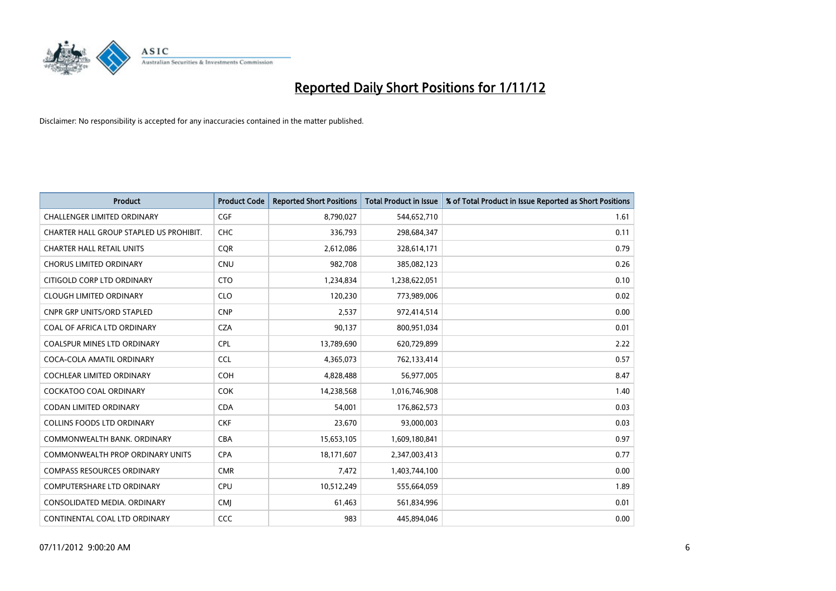

| <b>Product</b>                          | <b>Product Code</b> | <b>Reported Short Positions</b> | <b>Total Product in Issue</b> | % of Total Product in Issue Reported as Short Positions |
|-----------------------------------------|---------------------|---------------------------------|-------------------------------|---------------------------------------------------------|
| <b>CHALLENGER LIMITED ORDINARY</b>      | <b>CGF</b>          | 8,790,027                       | 544,652,710                   | 1.61                                                    |
| CHARTER HALL GROUP STAPLED US PROHIBIT. | <b>CHC</b>          | 336,793                         | 298,684,347                   | 0.11                                                    |
| <b>CHARTER HALL RETAIL UNITS</b>        | <b>COR</b>          | 2,612,086                       | 328,614,171                   | 0.79                                                    |
| <b>CHORUS LIMITED ORDINARY</b>          | <b>CNU</b>          | 982,708                         | 385,082,123                   | 0.26                                                    |
| CITIGOLD CORP LTD ORDINARY              | <b>CTO</b>          | 1,234,834                       | 1,238,622,051                 | 0.10                                                    |
| <b>CLOUGH LIMITED ORDINARY</b>          | <b>CLO</b>          | 120,230                         | 773,989,006                   | 0.02                                                    |
| <b>CNPR GRP UNITS/ORD STAPLED</b>       | <b>CNP</b>          | 2,537                           | 972,414,514                   | 0.00                                                    |
| COAL OF AFRICA LTD ORDINARY             | <b>CZA</b>          | 90,137                          | 800,951,034                   | 0.01                                                    |
| <b>COALSPUR MINES LTD ORDINARY</b>      | <b>CPL</b>          | 13,789,690                      | 620,729,899                   | 2.22                                                    |
| COCA-COLA AMATIL ORDINARY               | <b>CCL</b>          | 4,365,073                       | 762,133,414                   | 0.57                                                    |
| COCHLEAR LIMITED ORDINARY               | <b>COH</b>          | 4,828,488                       | 56,977,005                    | 8.47                                                    |
| <b>COCKATOO COAL ORDINARY</b>           | <b>COK</b>          | 14,238,568                      | 1,016,746,908                 | 1.40                                                    |
| CODAN LIMITED ORDINARY                  | <b>CDA</b>          | 54,001                          | 176,862,573                   | 0.03                                                    |
| <b>COLLINS FOODS LTD ORDINARY</b>       | <b>CKF</b>          | 23,670                          | 93,000,003                    | 0.03                                                    |
| COMMONWEALTH BANK, ORDINARY             | <b>CBA</b>          | 15,653,105                      | 1,609,180,841                 | 0.97                                                    |
| <b>COMMONWEALTH PROP ORDINARY UNITS</b> | <b>CPA</b>          | 18,171,607                      | 2,347,003,413                 | 0.77                                                    |
| <b>COMPASS RESOURCES ORDINARY</b>       | <b>CMR</b>          | 7,472                           | 1,403,744,100                 | 0.00                                                    |
| COMPUTERSHARE LTD ORDINARY              | <b>CPU</b>          | 10,512,249                      | 555,664,059                   | 1.89                                                    |
| CONSOLIDATED MEDIA, ORDINARY            | <b>CMI</b>          | 61,463                          | 561,834,996                   | 0.01                                                    |
| CONTINENTAL COAL LTD ORDINARY           | CCC                 | 983                             | 445,894,046                   | 0.00                                                    |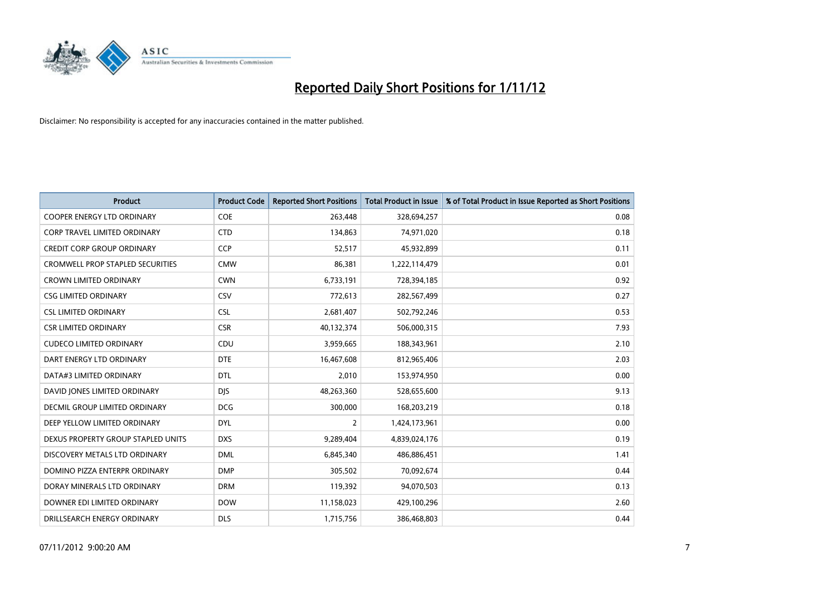

| <b>Product</b>                          | <b>Product Code</b> | <b>Reported Short Positions</b> | <b>Total Product in Issue</b> | % of Total Product in Issue Reported as Short Positions |
|-----------------------------------------|---------------------|---------------------------------|-------------------------------|---------------------------------------------------------|
| <b>COOPER ENERGY LTD ORDINARY</b>       | <b>COE</b>          | 263,448                         | 328,694,257                   | 0.08                                                    |
| <b>CORP TRAVEL LIMITED ORDINARY</b>     | <b>CTD</b>          | 134,863                         | 74,971,020                    | 0.18                                                    |
| <b>CREDIT CORP GROUP ORDINARY</b>       | <b>CCP</b>          | 52,517                          | 45,932,899                    | 0.11                                                    |
| <b>CROMWELL PROP STAPLED SECURITIES</b> | <b>CMW</b>          | 86,381                          | 1,222,114,479                 | 0.01                                                    |
| <b>CROWN LIMITED ORDINARY</b>           | <b>CWN</b>          | 6,733,191                       | 728,394,185                   | 0.92                                                    |
| <b>CSG LIMITED ORDINARY</b>             | CSV                 | 772,613                         | 282,567,499                   | 0.27                                                    |
| <b>CSL LIMITED ORDINARY</b>             | <b>CSL</b>          | 2,681,407                       | 502,792,246                   | 0.53                                                    |
| <b>CSR LIMITED ORDINARY</b>             | <b>CSR</b>          | 40,132,374                      | 506,000,315                   | 7.93                                                    |
| <b>CUDECO LIMITED ORDINARY</b>          | CDU                 | 3,959,665                       | 188,343,961                   | 2.10                                                    |
| DART ENERGY LTD ORDINARY                | <b>DTE</b>          | 16,467,608                      | 812,965,406                   | 2.03                                                    |
| DATA#3 LIMITED ORDINARY                 | <b>DTL</b>          | 2,010                           | 153,974,950                   | 0.00                                                    |
| DAVID JONES LIMITED ORDINARY            | <b>DJS</b>          | 48,263,360                      | 528,655,600                   | 9.13                                                    |
| <b>DECMIL GROUP LIMITED ORDINARY</b>    | <b>DCG</b>          | 300,000                         | 168,203,219                   | 0.18                                                    |
| DEEP YELLOW LIMITED ORDINARY            | <b>DYL</b>          | 2                               | 1,424,173,961                 | 0.00                                                    |
| DEXUS PROPERTY GROUP STAPLED UNITS      | <b>DXS</b>          | 9,289,404                       | 4,839,024,176                 | 0.19                                                    |
| DISCOVERY METALS LTD ORDINARY           | <b>DML</b>          | 6,845,340                       | 486,886,451                   | 1.41                                                    |
| DOMINO PIZZA ENTERPR ORDINARY           | <b>DMP</b>          | 305,502                         | 70,092,674                    | 0.44                                                    |
| DORAY MINERALS LTD ORDINARY             | <b>DRM</b>          | 119,392                         | 94,070,503                    | 0.13                                                    |
| DOWNER EDI LIMITED ORDINARY             | <b>DOW</b>          | 11,158,023                      | 429,100,296                   | 2.60                                                    |
| DRILLSEARCH ENERGY ORDINARY             | <b>DLS</b>          | 1,715,756                       | 386,468,803                   | 0.44                                                    |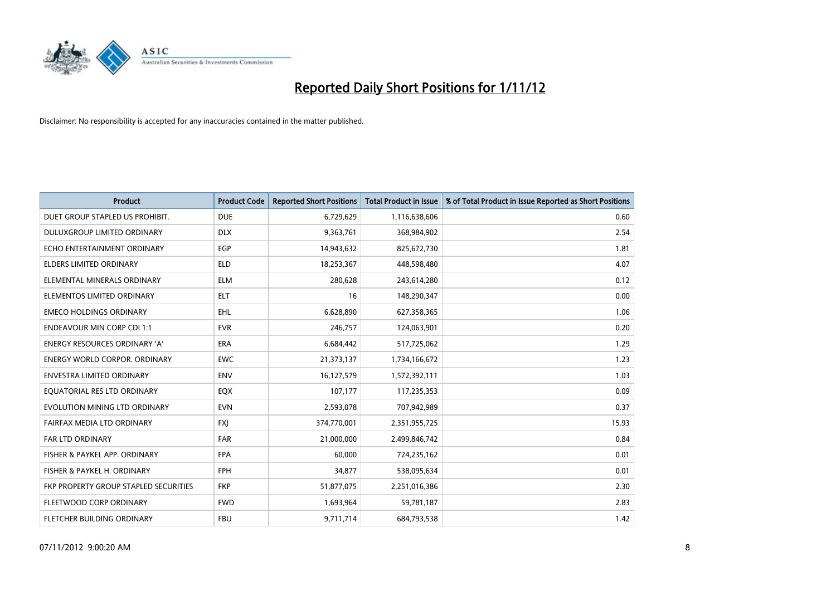

| <b>Product</b>                        | <b>Product Code</b> | <b>Reported Short Positions</b> | <b>Total Product in Issue</b> | % of Total Product in Issue Reported as Short Positions |
|---------------------------------------|---------------------|---------------------------------|-------------------------------|---------------------------------------------------------|
| DUET GROUP STAPLED US PROHIBIT.       | <b>DUE</b>          | 6,729,629                       | 1,116,638,606                 | 0.60                                                    |
| DULUXGROUP LIMITED ORDINARY           | <b>DLX</b>          | 9,363,761                       | 368,984,902                   | 2.54                                                    |
| ECHO ENTERTAINMENT ORDINARY           | <b>EGP</b>          | 14,943,632                      | 825,672,730                   | 1.81                                                    |
| <b>ELDERS LIMITED ORDINARY</b>        | <b>ELD</b>          | 18,253,367                      | 448,598,480                   | 4.07                                                    |
| ELEMENTAL MINERALS ORDINARY           | <b>ELM</b>          | 280,628                         | 243,614,280                   | 0.12                                                    |
| ELEMENTOS LIMITED ORDINARY            | <b>ELT</b>          | 16                              | 148,290,347                   | 0.00                                                    |
| <b>EMECO HOLDINGS ORDINARY</b>        | <b>EHL</b>          | 6,628,890                       | 627,358,365                   | 1.06                                                    |
| <b>ENDEAVOUR MIN CORP CDI 1:1</b>     | <b>EVR</b>          | 246,757                         | 124,063,901                   | 0.20                                                    |
| <b>ENERGY RESOURCES ORDINARY 'A'</b>  | <b>ERA</b>          | 6,684,442                       | 517,725,062                   | 1.29                                                    |
| <b>ENERGY WORLD CORPOR, ORDINARY</b>  | <b>EWC</b>          | 21,373,137                      | 1,734,166,672                 | 1.23                                                    |
| ENVESTRA LIMITED ORDINARY             | <b>ENV</b>          | 16,127,579                      | 1,572,392,111                 | 1.03                                                    |
| EQUATORIAL RES LTD ORDINARY           | <b>EQX</b>          | 107,177                         | 117,235,353                   | 0.09                                                    |
| EVOLUTION MINING LTD ORDINARY         | <b>EVN</b>          | 2,593,078                       | 707,942,989                   | 0.37                                                    |
| FAIRFAX MEDIA LTD ORDINARY            | <b>FXI</b>          | 374,770,001                     | 2,351,955,725                 | 15.93                                                   |
| FAR LTD ORDINARY                      | <b>FAR</b>          | 21,000,000                      | 2,499,846,742                 | 0.84                                                    |
| FISHER & PAYKEL APP. ORDINARY         | <b>FPA</b>          | 60,000                          | 724,235,162                   | 0.01                                                    |
| FISHER & PAYKEL H. ORDINARY           | <b>FPH</b>          | 34,877                          | 538,095,634                   | 0.01                                                    |
| FKP PROPERTY GROUP STAPLED SECURITIES | <b>FKP</b>          | 51,877,075                      | 2,251,016,386                 | 2.30                                                    |
| FLEETWOOD CORP ORDINARY               | <b>FWD</b>          | 1,693,964                       | 59,781,187                    | 2.83                                                    |
| <b>FLETCHER BUILDING ORDINARY</b>     | <b>FBU</b>          | 9,711,714                       | 684,793,538                   | 1.42                                                    |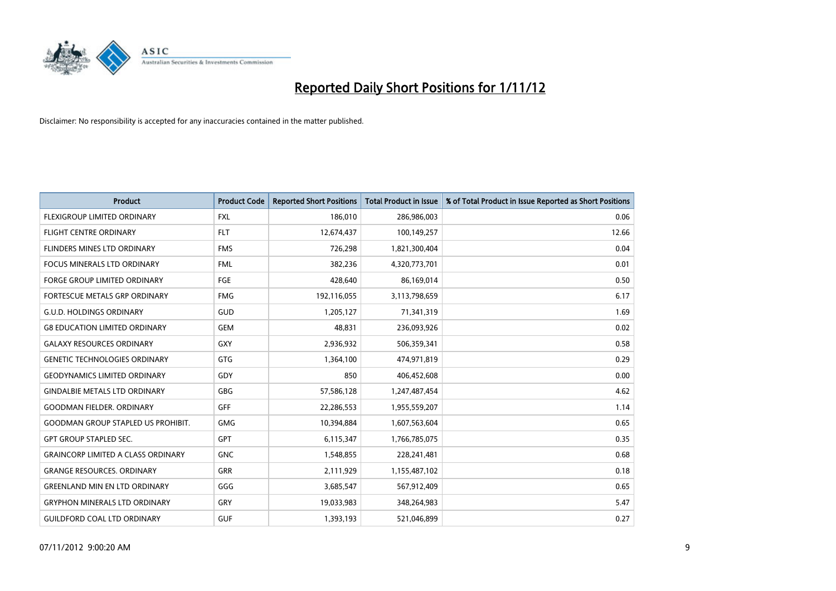

| <b>Product</b>                            | <b>Product Code</b> | <b>Reported Short Positions</b> | <b>Total Product in Issue</b> | % of Total Product in Issue Reported as Short Positions |
|-------------------------------------------|---------------------|---------------------------------|-------------------------------|---------------------------------------------------------|
| <b>FLEXIGROUP LIMITED ORDINARY</b>        | <b>FXL</b>          | 186,010                         | 286,986,003                   | 0.06                                                    |
| FLIGHT CENTRE ORDINARY                    | <b>FLT</b>          | 12,674,437                      | 100,149,257                   | 12.66                                                   |
| <b>FLINDERS MINES LTD ORDINARY</b>        | <b>FMS</b>          | 726,298                         | 1,821,300,404                 | 0.04                                                    |
| FOCUS MINERALS LTD ORDINARY               | <b>FML</b>          | 382,236                         | 4,320,773,701                 | 0.01                                                    |
| <b>FORGE GROUP LIMITED ORDINARY</b>       | FGE                 | 428,640                         | 86,169,014                    | 0.50                                                    |
| FORTESCUE METALS GRP ORDINARY             | <b>FMG</b>          | 192,116,055                     | 3,113,798,659                 | 6.17                                                    |
| <b>G.U.D. HOLDINGS ORDINARY</b>           | <b>GUD</b>          | 1,205,127                       | 71,341,319                    | 1.69                                                    |
| <b>G8 EDUCATION LIMITED ORDINARY</b>      | <b>GEM</b>          | 48,831                          | 236,093,926                   | 0.02                                                    |
| <b>GALAXY RESOURCES ORDINARY</b>          | <b>GXY</b>          | 2,936,932                       | 506,359,341                   | 0.58                                                    |
| <b>GENETIC TECHNOLOGIES ORDINARY</b>      | <b>GTG</b>          | 1,364,100                       | 474,971,819                   | 0.29                                                    |
| <b>GEODYNAMICS LIMITED ORDINARY</b>       | GDY                 | 850                             | 406,452,608                   | 0.00                                                    |
| <b>GINDALBIE METALS LTD ORDINARY</b>      | <b>GBG</b>          | 57,586,128                      | 1,247,487,454                 | 4.62                                                    |
| <b>GOODMAN FIELDER. ORDINARY</b>          | <b>GFF</b>          | 22,286,553                      | 1,955,559,207                 | 1.14                                                    |
| <b>GOODMAN GROUP STAPLED US PROHIBIT.</b> | <b>GMG</b>          | 10,394,884                      | 1,607,563,604                 | 0.65                                                    |
| <b>GPT GROUP STAPLED SEC.</b>             | <b>GPT</b>          | 6,115,347                       | 1,766,785,075                 | 0.35                                                    |
| <b>GRAINCORP LIMITED A CLASS ORDINARY</b> | <b>GNC</b>          | 1,548,855                       | 228,241,481                   | 0.68                                                    |
| <b>GRANGE RESOURCES. ORDINARY</b>         | <b>GRR</b>          | 2,111,929                       | 1,155,487,102                 | 0.18                                                    |
| <b>GREENLAND MIN EN LTD ORDINARY</b>      | GGG                 | 3,685,547                       | 567,912,409                   | 0.65                                                    |
| <b>GRYPHON MINERALS LTD ORDINARY</b>      | GRY                 | 19,033,983                      | 348,264,983                   | 5.47                                                    |
| <b>GUILDFORD COAL LTD ORDINARY</b>        | <b>GUF</b>          | 1,393,193                       | 521,046,899                   | 0.27                                                    |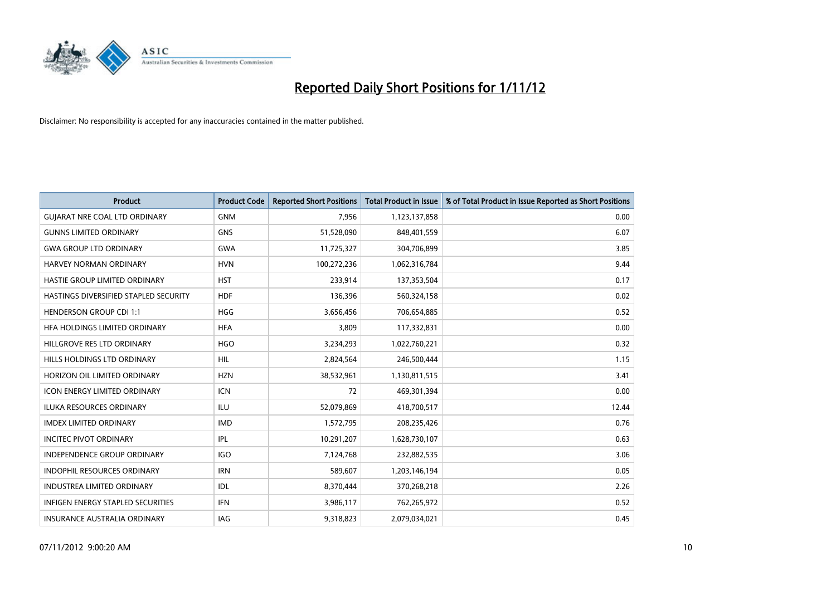

| <b>Product</b>                        | <b>Product Code</b> | <b>Reported Short Positions</b> | <b>Total Product in Issue</b> | % of Total Product in Issue Reported as Short Positions |
|---------------------------------------|---------------------|---------------------------------|-------------------------------|---------------------------------------------------------|
| <b>GUIARAT NRE COAL LTD ORDINARY</b>  | <b>GNM</b>          | 7,956                           | 1,123,137,858                 | 0.00                                                    |
| <b>GUNNS LIMITED ORDINARY</b>         | <b>GNS</b>          | 51,528,090                      | 848,401,559                   | 6.07                                                    |
| <b>GWA GROUP LTD ORDINARY</b>         | <b>GWA</b>          | 11,725,327                      | 304,706,899                   | 3.85                                                    |
| HARVEY NORMAN ORDINARY                | <b>HVN</b>          | 100,272,236                     | 1,062,316,784                 | 9.44                                                    |
| HASTIE GROUP LIMITED ORDINARY         | <b>HST</b>          | 233,914                         | 137,353,504                   | 0.17                                                    |
| HASTINGS DIVERSIFIED STAPLED SECURITY | <b>HDF</b>          | 136,396                         | 560,324,158                   | 0.02                                                    |
| <b>HENDERSON GROUP CDI 1:1</b>        | <b>HGG</b>          | 3,656,456                       | 706,654,885                   | 0.52                                                    |
| HFA HOLDINGS LIMITED ORDINARY         | <b>HFA</b>          | 3,809                           | 117,332,831                   | 0.00                                                    |
| HILLGROVE RES LTD ORDINARY            | <b>HGO</b>          | 3,234,293                       | 1,022,760,221                 | 0.32                                                    |
| HILLS HOLDINGS LTD ORDINARY           | <b>HIL</b>          | 2,824,564                       | 246,500,444                   | 1.15                                                    |
| HORIZON OIL LIMITED ORDINARY          | <b>HZN</b>          | 38,532,961                      | 1,130,811,515                 | 3.41                                                    |
| <b>ICON ENERGY LIMITED ORDINARY</b>   | <b>ICN</b>          | 72                              | 469,301,394                   | 0.00                                                    |
| ILUKA RESOURCES ORDINARY              | ILU                 | 52,079,869                      | 418,700,517                   | 12.44                                                   |
| <b>IMDEX LIMITED ORDINARY</b>         | <b>IMD</b>          | 1,572,795                       | 208,235,426                   | 0.76                                                    |
| <b>INCITEC PIVOT ORDINARY</b>         | <b>IPL</b>          | 10,291,207                      | 1,628,730,107                 | 0.63                                                    |
| INDEPENDENCE GROUP ORDINARY           | <b>IGO</b>          | 7,124,768                       | 232,882,535                   | 3.06                                                    |
| INDOPHIL RESOURCES ORDINARY           | <b>IRN</b>          | 589,607                         | 1,203,146,194                 | 0.05                                                    |
| <b>INDUSTREA LIMITED ORDINARY</b>     | <b>IDL</b>          | 8,370,444                       | 370,268,218                   | 2.26                                                    |
| INFIGEN ENERGY STAPLED SECURITIES     | <b>IFN</b>          | 3,986,117                       | 762,265,972                   | 0.52                                                    |
| INSURANCE AUSTRALIA ORDINARY          | IAG                 | 9,318,823                       | 2,079,034,021                 | 0.45                                                    |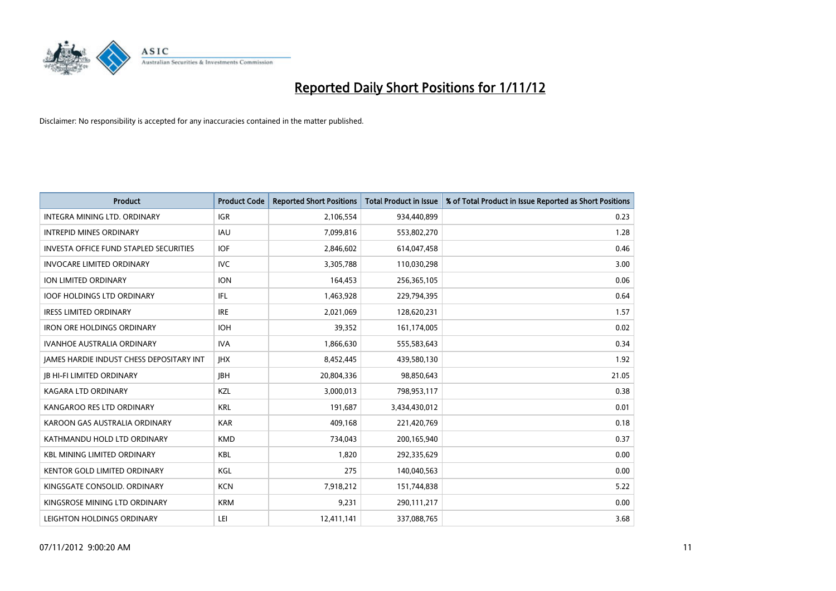

| <b>Product</b>                                  | <b>Product Code</b> | <b>Reported Short Positions</b> | <b>Total Product in Issue</b> | % of Total Product in Issue Reported as Short Positions |
|-------------------------------------------------|---------------------|---------------------------------|-------------------------------|---------------------------------------------------------|
| <b>INTEGRA MINING LTD, ORDINARY</b>             | <b>IGR</b>          | 2,106,554                       | 934,440,899                   | 0.23                                                    |
| <b>INTREPID MINES ORDINARY</b>                  | <b>IAU</b>          | 7,099,816                       | 553,802,270                   | 1.28                                                    |
| <b>INVESTA OFFICE FUND STAPLED SECURITIES</b>   | <b>IOF</b>          | 2,846,602                       | 614,047,458                   | 0.46                                                    |
| <b>INVOCARE LIMITED ORDINARY</b>                | <b>IVC</b>          | 3,305,788                       | 110,030,298                   | 3.00                                                    |
| <b>ION LIMITED ORDINARY</b>                     | <b>ION</b>          | 164,453                         | 256,365,105                   | 0.06                                                    |
| <b>IOOF HOLDINGS LTD ORDINARY</b>               | IFL.                | 1,463,928                       | 229,794,395                   | 0.64                                                    |
| <b>IRESS LIMITED ORDINARY</b>                   | <b>IRE</b>          | 2,021,069                       | 128,620,231                   | 1.57                                                    |
| <b>IRON ORE HOLDINGS ORDINARY</b>               | <b>IOH</b>          | 39,352                          | 161,174,005                   | 0.02                                                    |
| <b>IVANHOE AUSTRALIA ORDINARY</b>               | <b>IVA</b>          | 1,866,630                       | 555,583,643                   | 0.34                                                    |
| <b>JAMES HARDIE INDUST CHESS DEPOSITARY INT</b> | <b>IHX</b>          | 8,452,445                       | 439,580,130                   | 1.92                                                    |
| <b>IB HI-FI LIMITED ORDINARY</b>                | <b>IBH</b>          | 20,804,336                      | 98,850,643                    | 21.05                                                   |
| <b>KAGARA LTD ORDINARY</b>                      | KZL                 | 3,000,013                       | 798,953,117                   | 0.38                                                    |
| KANGAROO RES LTD ORDINARY                       | <b>KRL</b>          | 191,687                         | 3,434,430,012                 | 0.01                                                    |
| KAROON GAS AUSTRALIA ORDINARY                   | <b>KAR</b>          | 409,168                         | 221,420,769                   | 0.18                                                    |
| KATHMANDU HOLD LTD ORDINARY                     | <b>KMD</b>          | 734,043                         | 200,165,940                   | 0.37                                                    |
| <b>KBL MINING LIMITED ORDINARY</b>              | <b>KBL</b>          | 1,820                           | 292,335,629                   | 0.00                                                    |
| KENTOR GOLD LIMITED ORDINARY                    | KGL                 | 275                             | 140,040,563                   | 0.00                                                    |
| KINGSGATE CONSOLID. ORDINARY                    | <b>KCN</b>          | 7,918,212                       | 151,744,838                   | 5.22                                                    |
| KINGSROSE MINING LTD ORDINARY                   | <b>KRM</b>          | 9,231                           | 290,111,217                   | 0.00                                                    |
| LEIGHTON HOLDINGS ORDINARY                      | LEI                 | 12,411,141                      | 337,088,765                   | 3.68                                                    |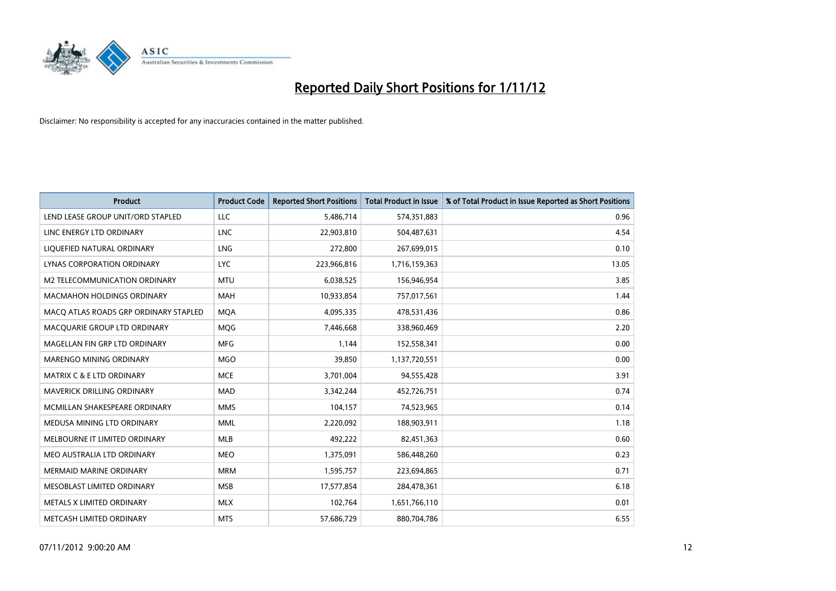

| <b>Product</b>                        | <b>Product Code</b> | <b>Reported Short Positions</b> | <b>Total Product in Issue</b> | % of Total Product in Issue Reported as Short Positions |
|---------------------------------------|---------------------|---------------------------------|-------------------------------|---------------------------------------------------------|
| LEND LEASE GROUP UNIT/ORD STAPLED     | LLC                 | 5,486,714                       | 574,351,883                   | 0.96                                                    |
| LINC ENERGY LTD ORDINARY              | <b>LNC</b>          | 22,903,810                      | 504,487,631                   | 4.54                                                    |
| LIQUEFIED NATURAL ORDINARY            | <b>LNG</b>          | 272,800                         | 267,699,015                   | 0.10                                                    |
| LYNAS CORPORATION ORDINARY            | <b>LYC</b>          | 223,966,816                     | 1,716,159,363                 | 13.05                                                   |
| M2 TELECOMMUNICATION ORDINARY         | <b>MTU</b>          | 6,038,525                       | 156,946,954                   | 3.85                                                    |
| MACMAHON HOLDINGS ORDINARY            | <b>MAH</b>          | 10,933,854                      | 757,017,561                   | 1.44                                                    |
| MACQ ATLAS ROADS GRP ORDINARY STAPLED | <b>MOA</b>          | 4,095,335                       | 478,531,436                   | 0.86                                                    |
| MACQUARIE GROUP LTD ORDINARY          | MQG                 | 7,446,668                       | 338,960,469                   | 2.20                                                    |
| MAGELLAN FIN GRP LTD ORDINARY         | <b>MFG</b>          | 1,144                           | 152,558,341                   | 0.00                                                    |
| MARENGO MINING ORDINARY               | <b>MGO</b>          | 39,850                          | 1,137,720,551                 | 0.00                                                    |
| MATRIX C & E LTD ORDINARY             | <b>MCE</b>          | 3,701,004                       | 94,555,428                    | 3.91                                                    |
| MAVERICK DRILLING ORDINARY            | <b>MAD</b>          | 3,342,244                       | 452,726,751                   | 0.74                                                    |
| MCMILLAN SHAKESPEARE ORDINARY         | <b>MMS</b>          | 104,157                         | 74,523,965                    | 0.14                                                    |
| MEDUSA MINING LTD ORDINARY            | <b>MML</b>          | 2,220,092                       | 188,903,911                   | 1.18                                                    |
| MELBOURNE IT LIMITED ORDINARY         | <b>MLB</b>          | 492,222                         | 82,451,363                    | 0.60                                                    |
| MEO AUSTRALIA LTD ORDINARY            | <b>MEO</b>          | 1,375,091                       | 586,448,260                   | 0.23                                                    |
| <b>MERMAID MARINE ORDINARY</b>        | <b>MRM</b>          | 1,595,757                       | 223,694,865                   | 0.71                                                    |
| MESOBLAST LIMITED ORDINARY            | <b>MSB</b>          | 17,577,854                      | 284,478,361                   | 6.18                                                    |
| METALS X LIMITED ORDINARY             | <b>MLX</b>          | 102,764                         | 1,651,766,110                 | 0.01                                                    |
| METCASH LIMITED ORDINARY              | <b>MTS</b>          | 57,686,729                      | 880,704,786                   | 6.55                                                    |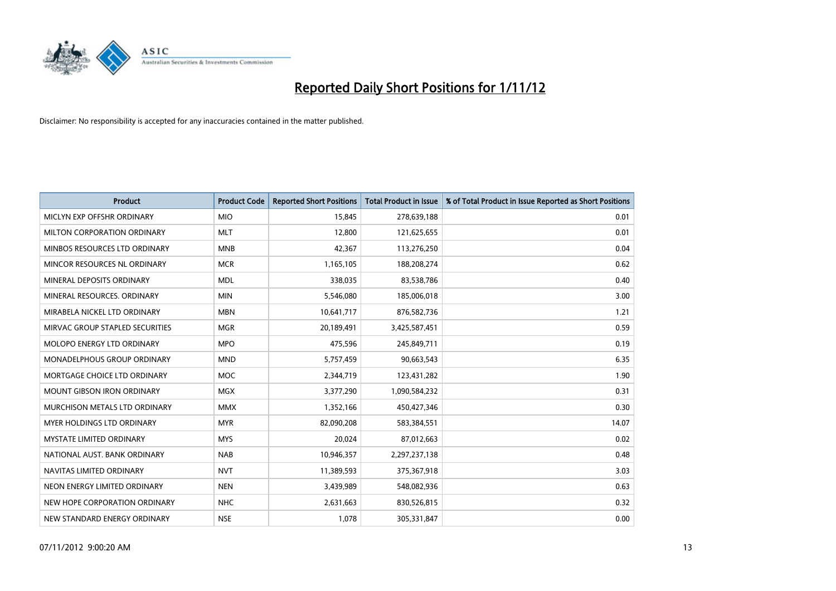

| <b>Product</b>                     | <b>Product Code</b> | <b>Reported Short Positions</b> | <b>Total Product in Issue</b> | % of Total Product in Issue Reported as Short Positions |
|------------------------------------|---------------------|---------------------------------|-------------------------------|---------------------------------------------------------|
| MICLYN EXP OFFSHR ORDINARY         | <b>MIO</b>          | 15,845                          | 278,639,188                   | 0.01                                                    |
| MILTON CORPORATION ORDINARY        | <b>MLT</b>          | 12,800                          | 121,625,655                   | 0.01                                                    |
| MINBOS RESOURCES LTD ORDINARY      | <b>MNB</b>          | 42,367                          | 113,276,250                   | 0.04                                                    |
| MINCOR RESOURCES NL ORDINARY       | <b>MCR</b>          | 1,165,105                       | 188,208,274                   | 0.62                                                    |
| MINERAL DEPOSITS ORDINARY          | <b>MDL</b>          | 338,035                         | 83,538,786                    | 0.40                                                    |
| MINERAL RESOURCES, ORDINARY        | <b>MIN</b>          | 5,546,080                       | 185,006,018                   | 3.00                                                    |
| MIRABELA NICKEL LTD ORDINARY       | <b>MBN</b>          | 10,641,717                      | 876,582,736                   | 1.21                                                    |
| MIRVAC GROUP STAPLED SECURITIES    | <b>MGR</b>          | 20,189,491                      | 3,425,587,451                 | 0.59                                                    |
| <b>MOLOPO ENERGY LTD ORDINARY</b>  | <b>MPO</b>          | 475,596                         | 245,849,711                   | 0.19                                                    |
| <b>MONADELPHOUS GROUP ORDINARY</b> | <b>MND</b>          | 5,757,459                       | 90,663,543                    | 6.35                                                    |
| MORTGAGE CHOICE LTD ORDINARY       | <b>MOC</b>          | 2,344,719                       | 123,431,282                   | 1.90                                                    |
| <b>MOUNT GIBSON IRON ORDINARY</b>  | <b>MGX</b>          | 3,377,290                       | 1,090,584,232                 | 0.31                                                    |
| MURCHISON METALS LTD ORDINARY      | <b>MMX</b>          | 1,352,166                       | 450,427,346                   | 0.30                                                    |
| <b>MYER HOLDINGS LTD ORDINARY</b>  | <b>MYR</b>          | 82,090,208                      | 583,384,551                   | 14.07                                                   |
| <b>MYSTATE LIMITED ORDINARY</b>    | <b>MYS</b>          | 20,024                          | 87,012,663                    | 0.02                                                    |
| NATIONAL AUST. BANK ORDINARY       | <b>NAB</b>          | 10,946,357                      | 2,297,237,138                 | 0.48                                                    |
| NAVITAS LIMITED ORDINARY           | <b>NVT</b>          | 11,389,593                      | 375,367,918                   | 3.03                                                    |
| NEON ENERGY LIMITED ORDINARY       | <b>NEN</b>          | 3,439,989                       | 548,082,936                   | 0.63                                                    |
| NEW HOPE CORPORATION ORDINARY      | NHC                 | 2,631,663                       | 830,526,815                   | 0.32                                                    |
| NEW STANDARD ENERGY ORDINARY       | <b>NSE</b>          | 1,078                           | 305,331,847                   | 0.00                                                    |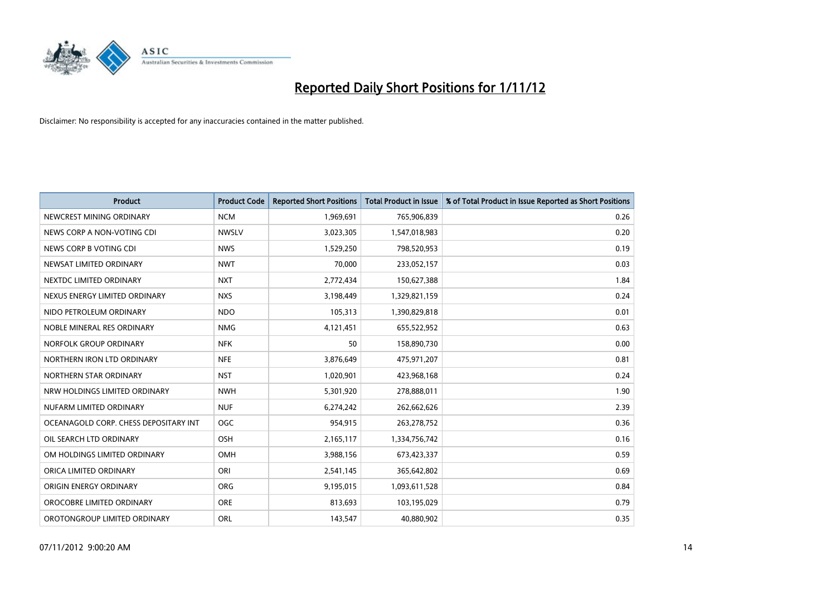

| <b>Product</b>                        | <b>Product Code</b> | <b>Reported Short Positions</b> | <b>Total Product in Issue</b> | % of Total Product in Issue Reported as Short Positions |
|---------------------------------------|---------------------|---------------------------------|-------------------------------|---------------------------------------------------------|
| NEWCREST MINING ORDINARY              | <b>NCM</b>          | 1,969,691                       | 765,906,839                   | 0.26                                                    |
| NEWS CORP A NON-VOTING CDI            | <b>NWSLV</b>        | 3,023,305                       | 1,547,018,983                 | 0.20                                                    |
| NEWS CORP B VOTING CDI                | <b>NWS</b>          | 1,529,250                       | 798,520,953                   | 0.19                                                    |
| NEWSAT LIMITED ORDINARY               | <b>NWT</b>          | 70,000                          | 233,052,157                   | 0.03                                                    |
| NEXTDC LIMITED ORDINARY               | <b>NXT</b>          | 2,772,434                       | 150,627,388                   | 1.84                                                    |
| NEXUS ENERGY LIMITED ORDINARY         | <b>NXS</b>          | 3,198,449                       | 1,329,821,159                 | 0.24                                                    |
| NIDO PETROLEUM ORDINARY               | <b>NDO</b>          | 105,313                         | 1,390,829,818                 | 0.01                                                    |
| NOBLE MINERAL RES ORDINARY            | <b>NMG</b>          | 4,121,451                       | 655,522,952                   | 0.63                                                    |
| NORFOLK GROUP ORDINARY                | <b>NFK</b>          | 50                              | 158,890,730                   | 0.00                                                    |
| NORTHERN IRON LTD ORDINARY            | <b>NFE</b>          | 3,876,649                       | 475,971,207                   | 0.81                                                    |
| NORTHERN STAR ORDINARY                | <b>NST</b>          | 1,020,901                       | 423,968,168                   | 0.24                                                    |
| NRW HOLDINGS LIMITED ORDINARY         | <b>NWH</b>          | 5,301,920                       | 278,888,011                   | 1.90                                                    |
| NUFARM LIMITED ORDINARY               | <b>NUF</b>          | 6,274,242                       | 262,662,626                   | 2.39                                                    |
| OCEANAGOLD CORP. CHESS DEPOSITARY INT | <b>OGC</b>          | 954,915                         | 263,278,752                   | 0.36                                                    |
| OIL SEARCH LTD ORDINARY               | <b>OSH</b>          | 2,165,117                       | 1,334,756,742                 | 0.16                                                    |
| OM HOLDINGS LIMITED ORDINARY          | OMH                 | 3,988,156                       | 673,423,337                   | 0.59                                                    |
| ORICA LIMITED ORDINARY                | ORI                 | 2,541,145                       | 365,642,802                   | 0.69                                                    |
| ORIGIN ENERGY ORDINARY                | <b>ORG</b>          | 9,195,015                       | 1,093,611,528                 | 0.84                                                    |
| OROCOBRE LIMITED ORDINARY             | <b>ORE</b>          | 813,693                         | 103,195,029                   | 0.79                                                    |
| OROTONGROUP LIMITED ORDINARY          | ORL                 | 143,547                         | 40,880,902                    | 0.35                                                    |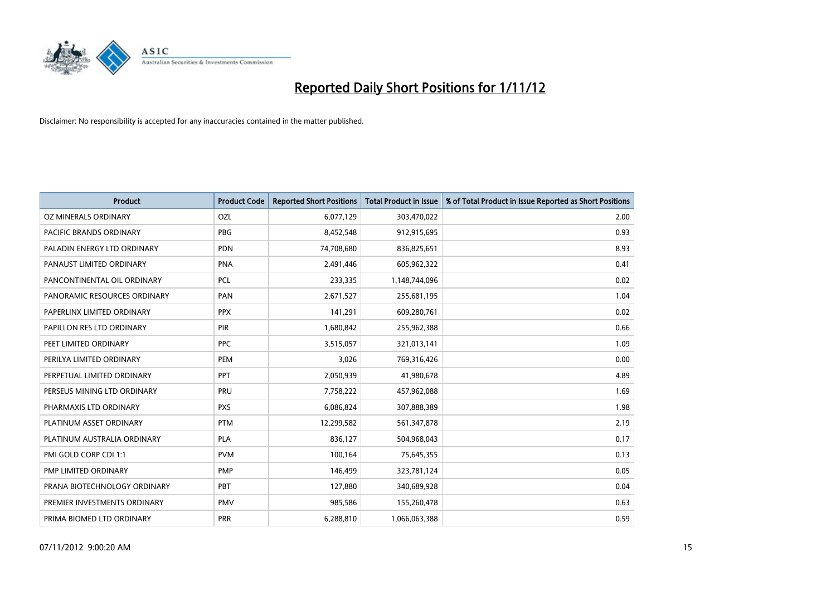

| <b>Product</b>               | <b>Product Code</b> | <b>Reported Short Positions</b> | <b>Total Product in Issue</b> | % of Total Product in Issue Reported as Short Positions |
|------------------------------|---------------------|---------------------------------|-------------------------------|---------------------------------------------------------|
| OZ MINERALS ORDINARY         | OZL                 | 6,077,129                       | 303,470,022                   | 2.00                                                    |
| PACIFIC BRANDS ORDINARY      | <b>PBG</b>          | 8,452,548                       | 912,915,695                   | 0.93                                                    |
| PALADIN ENERGY LTD ORDINARY  | <b>PDN</b>          | 74,708,680                      | 836,825,651                   | 8.93                                                    |
| PANAUST LIMITED ORDINARY     | <b>PNA</b>          | 2,491,446                       | 605,962,322                   | 0.41                                                    |
| PANCONTINENTAL OIL ORDINARY  | <b>PCL</b>          | 233,335                         | 1,148,744,096                 | 0.02                                                    |
| PANORAMIC RESOURCES ORDINARY | PAN                 | 2,671,527                       | 255,681,195                   | 1.04                                                    |
| PAPERLINX LIMITED ORDINARY   | <b>PPX</b>          | 141,291                         | 609,280,761                   | 0.02                                                    |
| PAPILLON RES LTD ORDINARY    | PIR                 | 1,680,842                       | 255,962,388                   | 0.66                                                    |
| PEET LIMITED ORDINARY        | <b>PPC</b>          | 3,515,057                       | 321,013,141                   | 1.09                                                    |
| PERILYA LIMITED ORDINARY     | PEM                 | 3,026                           | 769,316,426                   | 0.00                                                    |
| PERPETUAL LIMITED ORDINARY   | <b>PPT</b>          | 2,050,939                       | 41,980,678                    | 4.89                                                    |
| PERSEUS MINING LTD ORDINARY  | PRU                 | 7,758,222                       | 457,962,088                   | 1.69                                                    |
| PHARMAXIS LTD ORDINARY       | <b>PXS</b>          | 6,086,824                       | 307,888,389                   | 1.98                                                    |
| PLATINUM ASSET ORDINARY      | <b>PTM</b>          | 12,299,582                      | 561,347,878                   | 2.19                                                    |
| PLATINUM AUSTRALIA ORDINARY  | PLA                 | 836,127                         | 504,968,043                   | 0.17                                                    |
| PMI GOLD CORP CDI 1:1        | <b>PVM</b>          | 100,164                         | 75,645,355                    | 0.13                                                    |
| PMP LIMITED ORDINARY         | <b>PMP</b>          | 146,499                         | 323,781,124                   | 0.05                                                    |
| PRANA BIOTECHNOLOGY ORDINARY | PBT                 | 127,880                         | 340,689,928                   | 0.04                                                    |
| PREMIER INVESTMENTS ORDINARY | <b>PMV</b>          | 985,586                         | 155,260,478                   | 0.63                                                    |
| PRIMA BIOMED LTD ORDINARY    | PRR                 | 6,288,810                       | 1,066,063,388                 | 0.59                                                    |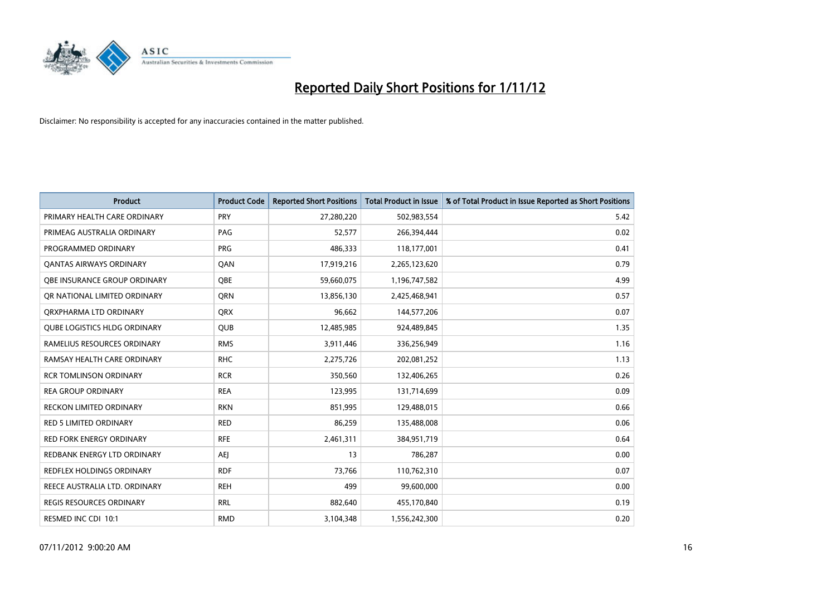

| <b>Product</b>                      | <b>Product Code</b> | <b>Reported Short Positions</b> | <b>Total Product in Issue</b> | % of Total Product in Issue Reported as Short Positions |
|-------------------------------------|---------------------|---------------------------------|-------------------------------|---------------------------------------------------------|
| PRIMARY HEALTH CARE ORDINARY        | <b>PRY</b>          | 27,280,220                      | 502,983,554                   | 5.42                                                    |
| PRIMEAG AUSTRALIA ORDINARY          | PAG                 | 52,577                          | 266,394,444                   | 0.02                                                    |
| PROGRAMMED ORDINARY                 | <b>PRG</b>          | 486,333                         | 118,177,001                   | 0.41                                                    |
| <b>QANTAS AIRWAYS ORDINARY</b>      | QAN                 | 17,919,216                      | 2,265,123,620                 | 0.79                                                    |
| <b>OBE INSURANCE GROUP ORDINARY</b> | <b>OBE</b>          | 59,660,075                      | 1,196,747,582                 | 4.99                                                    |
| OR NATIONAL LIMITED ORDINARY        | <b>ORN</b>          | 13,856,130                      | 2,425,468,941                 | 0.57                                                    |
| ORXPHARMA LTD ORDINARY              | <b>QRX</b>          | 96,662                          | 144,577,206                   | 0.07                                                    |
| <b>QUBE LOGISTICS HLDG ORDINARY</b> | <b>QUB</b>          | 12,485,985                      | 924,489,845                   | 1.35                                                    |
| RAMELIUS RESOURCES ORDINARY         | <b>RMS</b>          | 3,911,446                       | 336,256,949                   | 1.16                                                    |
| RAMSAY HEALTH CARE ORDINARY         | <b>RHC</b>          | 2,275,726                       | 202,081,252                   | 1.13                                                    |
| <b>RCR TOMLINSON ORDINARY</b>       | <b>RCR</b>          | 350,560                         | 132,406,265                   | 0.26                                                    |
| <b>REA GROUP ORDINARY</b>           | <b>REA</b>          | 123,995                         | 131,714,699                   | 0.09                                                    |
| <b>RECKON LIMITED ORDINARY</b>      | <b>RKN</b>          | 851,995                         | 129,488,015                   | 0.66                                                    |
| <b>RED 5 LIMITED ORDINARY</b>       | <b>RED</b>          | 86,259                          | 135,488,008                   | 0.06                                                    |
| <b>RED FORK ENERGY ORDINARY</b>     | <b>RFE</b>          | 2,461,311                       | 384,951,719                   | 0.64                                                    |
| REDBANK ENERGY LTD ORDINARY         | AEJ                 | 13                              | 786,287                       | 0.00                                                    |
| REDFLEX HOLDINGS ORDINARY           | <b>RDF</b>          | 73,766                          | 110,762,310                   | 0.07                                                    |
| REECE AUSTRALIA LTD. ORDINARY       | <b>REH</b>          | 499                             | 99,600,000                    | 0.00                                                    |
| <b>REGIS RESOURCES ORDINARY</b>     | <b>RRL</b>          | 882,640                         | 455,170,840                   | 0.19                                                    |
| RESMED INC CDI 10:1                 | <b>RMD</b>          | 3,104,348                       | 1,556,242,300                 | 0.20                                                    |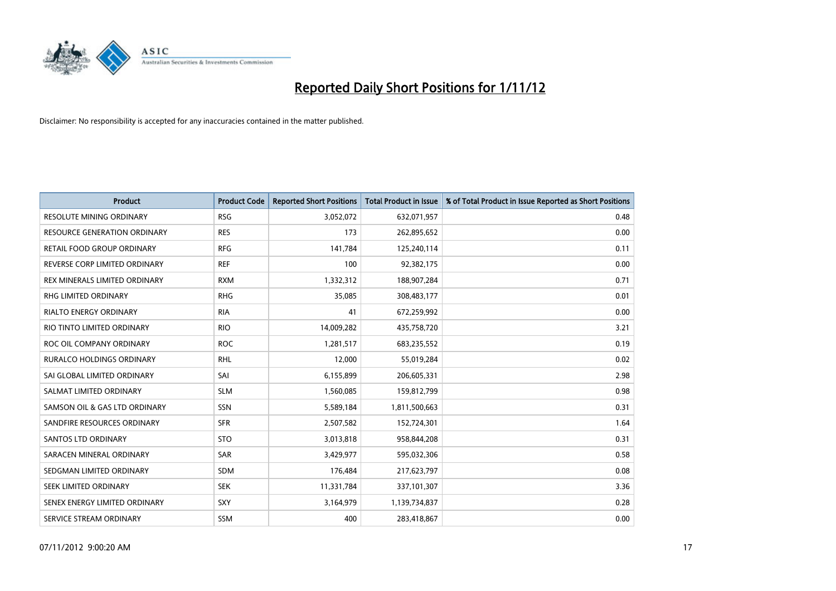

| <b>Product</b>                   | <b>Product Code</b> | <b>Reported Short Positions</b> | <b>Total Product in Issue</b> | % of Total Product in Issue Reported as Short Positions |
|----------------------------------|---------------------|---------------------------------|-------------------------------|---------------------------------------------------------|
| <b>RESOLUTE MINING ORDINARY</b>  | <b>RSG</b>          | 3,052,072                       | 632,071,957                   | 0.48                                                    |
| RESOURCE GENERATION ORDINARY     | <b>RES</b>          | 173                             | 262,895,652                   | 0.00                                                    |
| RETAIL FOOD GROUP ORDINARY       | <b>RFG</b>          | 141,784                         | 125,240,114                   | 0.11                                                    |
| REVERSE CORP LIMITED ORDINARY    | <b>REF</b>          | 100                             | 92,382,175                    | 0.00                                                    |
| REX MINERALS LIMITED ORDINARY    | <b>RXM</b>          | 1,332,312                       | 188,907,284                   | 0.71                                                    |
| <b>RHG LIMITED ORDINARY</b>      | <b>RHG</b>          | 35,085                          | 308,483,177                   | 0.01                                                    |
| <b>RIALTO ENERGY ORDINARY</b>    | <b>RIA</b>          | 41                              | 672,259,992                   | 0.00                                                    |
| RIO TINTO LIMITED ORDINARY       | <b>RIO</b>          | 14,009,282                      | 435,758,720                   | 3.21                                                    |
| ROC OIL COMPANY ORDINARY         | <b>ROC</b>          | 1,281,517                       | 683,235,552                   | 0.19                                                    |
| <b>RURALCO HOLDINGS ORDINARY</b> | <b>RHL</b>          | 12,000                          | 55,019,284                    | 0.02                                                    |
| SAI GLOBAL LIMITED ORDINARY      | SAI                 | 6,155,899                       | 206,605,331                   | 2.98                                                    |
| SALMAT LIMITED ORDINARY          | <b>SLM</b>          | 1,560,085                       | 159,812,799                   | 0.98                                                    |
| SAMSON OIL & GAS LTD ORDINARY    | <b>SSN</b>          | 5,589,184                       | 1,811,500,663                 | 0.31                                                    |
| SANDFIRE RESOURCES ORDINARY      | <b>SFR</b>          | 2,507,582                       | 152,724,301                   | 1.64                                                    |
| <b>SANTOS LTD ORDINARY</b>       | <b>STO</b>          | 3,013,818                       | 958,844,208                   | 0.31                                                    |
| SARACEN MINERAL ORDINARY         | SAR                 | 3,429,977                       | 595,032,306                   | 0.58                                                    |
| SEDGMAN LIMITED ORDINARY         | <b>SDM</b>          | 176,484                         | 217,623,797                   | 0.08                                                    |
| SEEK LIMITED ORDINARY            | <b>SEK</b>          | 11,331,784                      | 337,101,307                   | 3.36                                                    |
| SENEX ENERGY LIMITED ORDINARY    | <b>SXY</b>          | 3,164,979                       | 1,139,734,837                 | 0.28                                                    |
| SERVICE STREAM ORDINARY          | <b>SSM</b>          | 400                             | 283,418,867                   | 0.00                                                    |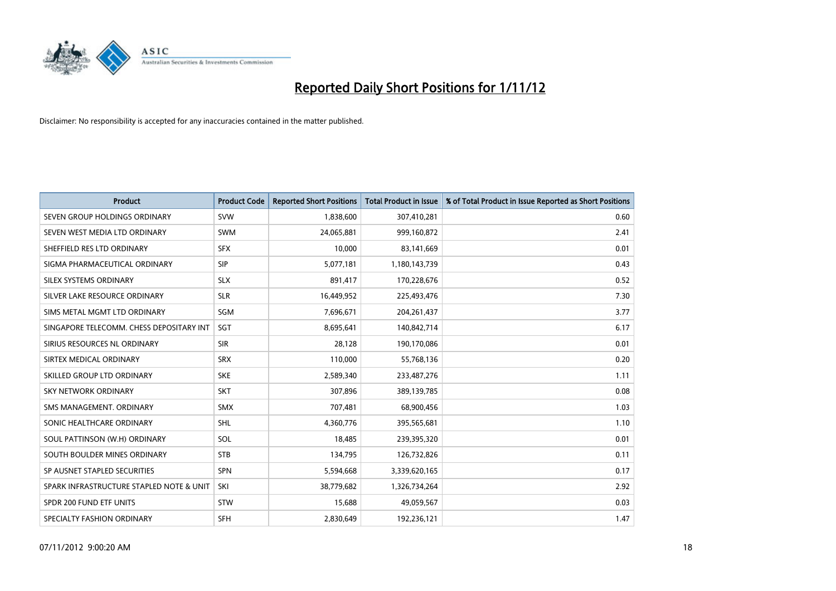

| <b>Product</b>                           | <b>Product Code</b> | <b>Reported Short Positions</b> | <b>Total Product in Issue</b> | % of Total Product in Issue Reported as Short Positions |
|------------------------------------------|---------------------|---------------------------------|-------------------------------|---------------------------------------------------------|
| SEVEN GROUP HOLDINGS ORDINARY            | <b>SVW</b>          | 1,838,600                       | 307,410,281                   | 0.60                                                    |
| SEVEN WEST MEDIA LTD ORDINARY            | <b>SWM</b>          | 24,065,881                      | 999,160,872                   | 2.41                                                    |
| SHEFFIELD RES LTD ORDINARY               | <b>SFX</b>          | 10,000                          | 83,141,669                    | 0.01                                                    |
| SIGMA PHARMACEUTICAL ORDINARY            | <b>SIP</b>          | 5,077,181                       | 1,180,143,739                 | 0.43                                                    |
| SILEX SYSTEMS ORDINARY                   | <b>SLX</b>          | 891,417                         | 170,228,676                   | 0.52                                                    |
| SILVER LAKE RESOURCE ORDINARY            | <b>SLR</b>          | 16,449,952                      | 225,493,476                   | 7.30                                                    |
| SIMS METAL MGMT LTD ORDINARY             | SGM                 | 7,696,671                       | 204, 261, 437                 | 3.77                                                    |
| SINGAPORE TELECOMM. CHESS DEPOSITARY INT | <b>SGT</b>          | 8,695,641                       | 140,842,714                   | 6.17                                                    |
| SIRIUS RESOURCES NL ORDINARY             | <b>SIR</b>          | 28,128                          | 190,170,086                   | 0.01                                                    |
| SIRTEX MEDICAL ORDINARY                  | <b>SRX</b>          | 110,000                         | 55,768,136                    | 0.20                                                    |
| SKILLED GROUP LTD ORDINARY               | <b>SKE</b>          | 2,589,340                       | 233,487,276                   | 1.11                                                    |
| <b>SKY NETWORK ORDINARY</b>              | <b>SKT</b>          | 307,896                         | 389,139,785                   | 0.08                                                    |
| SMS MANAGEMENT, ORDINARY                 | <b>SMX</b>          | 707,481                         | 68,900,456                    | 1.03                                                    |
| SONIC HEALTHCARE ORDINARY                | <b>SHL</b>          | 4,360,776                       | 395,565,681                   | 1.10                                                    |
| SOUL PATTINSON (W.H) ORDINARY            | SOL                 | 18,485                          | 239,395,320                   | 0.01                                                    |
| SOUTH BOULDER MINES ORDINARY             | <b>STB</b>          | 134,795                         | 126,732,826                   | 0.11                                                    |
| SP AUSNET STAPLED SECURITIES             | <b>SPN</b>          | 5,594,668                       | 3,339,620,165                 | 0.17                                                    |
| SPARK INFRASTRUCTURE STAPLED NOTE & UNIT | SKI                 | 38,779,682                      | 1,326,734,264                 | 2.92                                                    |
| SPDR 200 FUND ETF UNITS                  | <b>STW</b>          | 15,688                          | 49,059,567                    | 0.03                                                    |
| SPECIALTY FASHION ORDINARY               | <b>SFH</b>          | 2,830,649                       | 192,236,121                   | 1.47                                                    |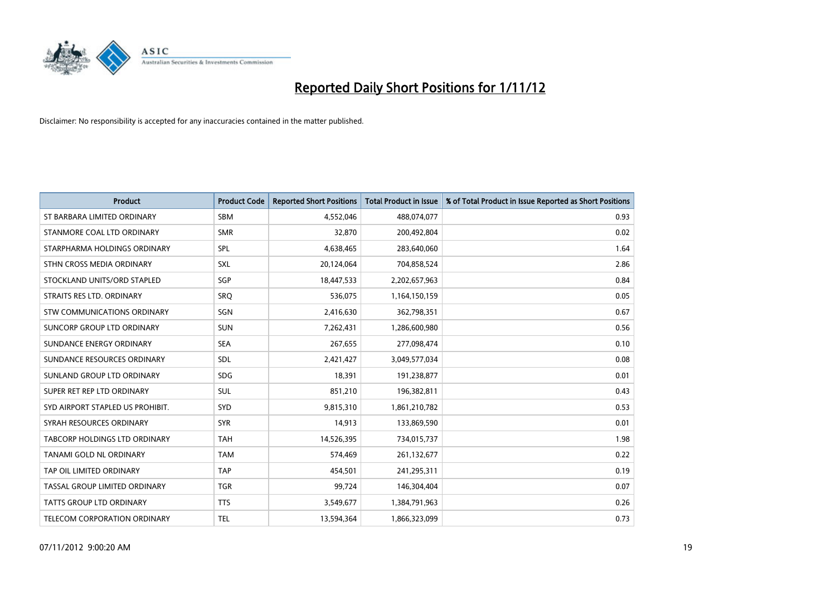

| <b>Product</b>                   | <b>Product Code</b> | <b>Reported Short Positions</b> | <b>Total Product in Issue</b> | % of Total Product in Issue Reported as Short Positions |
|----------------------------------|---------------------|---------------------------------|-------------------------------|---------------------------------------------------------|
| ST BARBARA LIMITED ORDINARY      | <b>SBM</b>          | 4,552,046                       | 488,074,077                   | 0.93                                                    |
| STANMORE COAL LTD ORDINARY       | <b>SMR</b>          | 32,870                          | 200,492,804                   | 0.02                                                    |
| STARPHARMA HOLDINGS ORDINARY     | SPL                 | 4,638,465                       | 283,640,060                   | 1.64                                                    |
| STHN CROSS MEDIA ORDINARY        | <b>SXL</b>          | 20,124,064                      | 704,858,524                   | 2.86                                                    |
| STOCKLAND UNITS/ORD STAPLED      | SGP                 | 18,447,533                      | 2,202,657,963                 | 0.84                                                    |
| STRAITS RES LTD. ORDINARY        | SRO                 | 536,075                         | 1,164,150,159                 | 0.05                                                    |
| STW COMMUNICATIONS ORDINARY      | SGN                 | 2,416,630                       | 362,798,351                   | 0.67                                                    |
| SUNCORP GROUP LTD ORDINARY       | <b>SUN</b>          | 7,262,431                       | 1,286,600,980                 | 0.56                                                    |
| SUNDANCE ENERGY ORDINARY         | <b>SEA</b>          | 267,655                         | 277,098,474                   | 0.10                                                    |
| SUNDANCE RESOURCES ORDINARY      | <b>SDL</b>          | 2,421,427                       | 3,049,577,034                 | 0.08                                                    |
| SUNLAND GROUP LTD ORDINARY       | <b>SDG</b>          | 18,391                          | 191,238,877                   | 0.01                                                    |
| SUPER RET REP LTD ORDINARY       | <b>SUL</b>          | 851,210                         | 196,382,811                   | 0.43                                                    |
| SYD AIRPORT STAPLED US PROHIBIT. | <b>SYD</b>          | 9,815,310                       | 1,861,210,782                 | 0.53                                                    |
| SYRAH RESOURCES ORDINARY         | <b>SYR</b>          | 14,913                          | 133,869,590                   | 0.01                                                    |
| TABCORP HOLDINGS LTD ORDINARY    | <b>TAH</b>          | 14,526,395                      | 734,015,737                   | 1.98                                                    |
| TANAMI GOLD NL ORDINARY          | <b>TAM</b>          | 574,469                         | 261,132,677                   | 0.22                                                    |
| TAP OIL LIMITED ORDINARY         | <b>TAP</b>          | 454,501                         | 241,295,311                   | 0.19                                                    |
| TASSAL GROUP LIMITED ORDINARY    | <b>TGR</b>          | 99,724                          | 146,304,404                   | 0.07                                                    |
| <b>TATTS GROUP LTD ORDINARY</b>  | <b>TTS</b>          | 3,549,677                       | 1,384,791,963                 | 0.26                                                    |
| TELECOM CORPORATION ORDINARY     | <b>TEL</b>          | 13,594,364                      | 1,866,323,099                 | 0.73                                                    |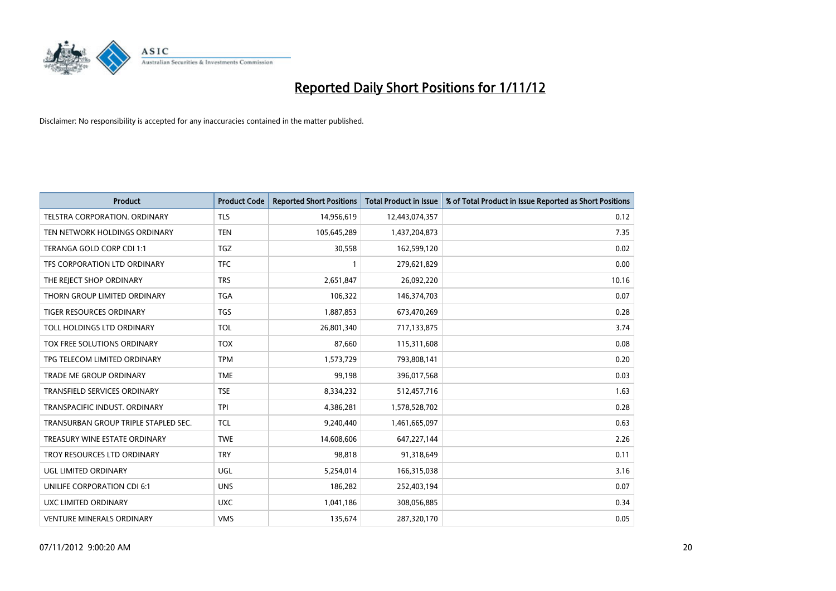

| <b>Product</b>                       | <b>Product Code</b> | <b>Reported Short Positions</b> | <b>Total Product in Issue</b> | % of Total Product in Issue Reported as Short Positions |
|--------------------------------------|---------------------|---------------------------------|-------------------------------|---------------------------------------------------------|
| <b>TELSTRA CORPORATION, ORDINARY</b> | <b>TLS</b>          | 14,956,619                      | 12,443,074,357                | 0.12                                                    |
| TEN NETWORK HOLDINGS ORDINARY        | <b>TEN</b>          | 105,645,289                     | 1,437,204,873                 | 7.35                                                    |
| TERANGA GOLD CORP CDI 1:1            | <b>TGZ</b>          | 30,558                          | 162,599,120                   | 0.02                                                    |
| TFS CORPORATION LTD ORDINARY         | <b>TFC</b>          |                                 | 279,621,829                   | 0.00                                                    |
| THE REJECT SHOP ORDINARY             | <b>TRS</b>          | 2,651,847                       | 26,092,220                    | 10.16                                                   |
| THORN GROUP LIMITED ORDINARY         | <b>TGA</b>          | 106,322                         | 146,374,703                   | 0.07                                                    |
| <b>TIGER RESOURCES ORDINARY</b>      | <b>TGS</b>          | 1,887,853                       | 673,470,269                   | 0.28                                                    |
| TOLL HOLDINGS LTD ORDINARY           | <b>TOL</b>          | 26,801,340                      | 717,133,875                   | 3.74                                                    |
| TOX FREE SOLUTIONS ORDINARY          | <b>TOX</b>          | 87,660                          | 115,311,608                   | 0.08                                                    |
| TPG TELECOM LIMITED ORDINARY         | <b>TPM</b>          | 1,573,729                       | 793,808,141                   | 0.20                                                    |
| <b>TRADE ME GROUP ORDINARY</b>       | <b>TME</b>          | 99,198                          | 396,017,568                   | 0.03                                                    |
| <b>TRANSFIELD SERVICES ORDINARY</b>  | <b>TSE</b>          | 8,334,232                       | 512,457,716                   | 1.63                                                    |
| TRANSPACIFIC INDUST, ORDINARY        | <b>TPI</b>          | 4,386,281                       | 1,578,528,702                 | 0.28                                                    |
| TRANSURBAN GROUP TRIPLE STAPLED SEC. | <b>TCL</b>          | 9,240,440                       | 1,461,665,097                 | 0.63                                                    |
| TREASURY WINE ESTATE ORDINARY        | <b>TWE</b>          | 14,608,606                      | 647,227,144                   | 2.26                                                    |
| TROY RESOURCES LTD ORDINARY          | <b>TRY</b>          | 98,818                          | 91,318,649                    | 0.11                                                    |
| UGL LIMITED ORDINARY                 | UGL                 | 5,254,014                       | 166,315,038                   | 3.16                                                    |
| UNILIFE CORPORATION CDI 6:1          | <b>UNS</b>          | 186,282                         | 252,403,194                   | 0.07                                                    |
| UXC LIMITED ORDINARY                 | <b>UXC</b>          | 1,041,186                       | 308,056,885                   | 0.34                                                    |
| <b>VENTURE MINERALS ORDINARY</b>     | <b>VMS</b>          | 135,674                         | 287,320,170                   | 0.05                                                    |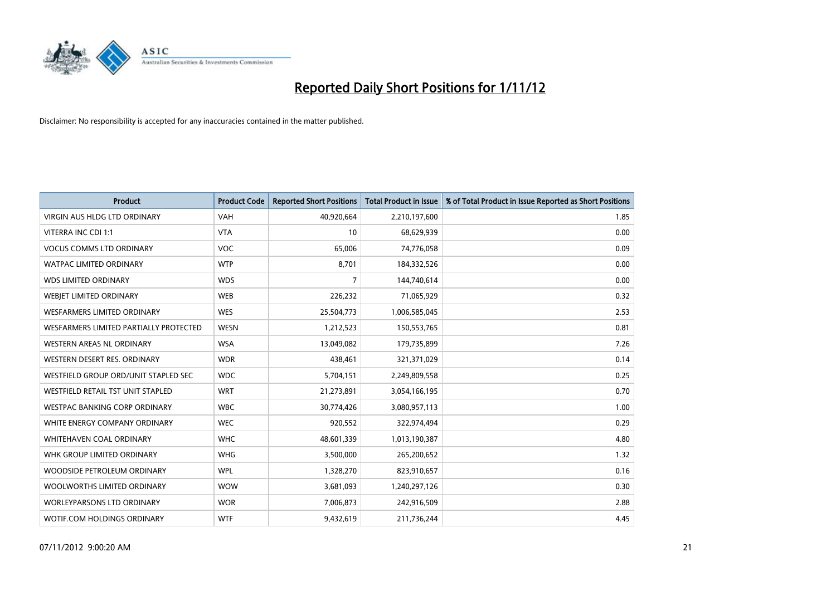

| <b>Product</b>                         | <b>Product Code</b> | <b>Reported Short Positions</b> | <b>Total Product in Issue</b> | % of Total Product in Issue Reported as Short Positions |
|----------------------------------------|---------------------|---------------------------------|-------------------------------|---------------------------------------------------------|
| <b>VIRGIN AUS HLDG LTD ORDINARY</b>    | <b>VAH</b>          | 40,920,664                      | 2,210,197,600                 | 1.85                                                    |
| VITERRA INC CDI 1:1                    | <b>VTA</b>          | 10                              | 68,629,939                    | 0.00                                                    |
| <b>VOCUS COMMS LTD ORDINARY</b>        | VOC                 | 65,006                          | 74,776,058                    | 0.09                                                    |
| WATPAC LIMITED ORDINARY                | <b>WTP</b>          | 8,701                           | 184,332,526                   | 0.00                                                    |
| <b>WDS LIMITED ORDINARY</b>            | <b>WDS</b>          | 7                               | 144,740,614                   | 0.00                                                    |
| WEBIET LIMITED ORDINARY                | <b>WEB</b>          | 226,232                         | 71,065,929                    | 0.32                                                    |
| <b>WESFARMERS LIMITED ORDINARY</b>     | <b>WES</b>          | 25,504,773                      | 1,006,585,045                 | 2.53                                                    |
| WESFARMERS LIMITED PARTIALLY PROTECTED | <b>WESN</b>         | 1,212,523                       | 150,553,765                   | 0.81                                                    |
| WESTERN AREAS NL ORDINARY              | <b>WSA</b>          | 13,049,082                      | 179,735,899                   | 7.26                                                    |
| WESTERN DESERT RES. ORDINARY           | <b>WDR</b>          | 438,461                         | 321,371,029                   | 0.14                                                    |
| WESTFIELD GROUP ORD/UNIT STAPLED SEC   | <b>WDC</b>          | 5,704,151                       | 2,249,809,558                 | 0.25                                                    |
| WESTFIELD RETAIL TST UNIT STAPLED      | <b>WRT</b>          | 21,273,891                      | 3,054,166,195                 | 0.70                                                    |
| WESTPAC BANKING CORP ORDINARY          | <b>WBC</b>          | 30,774,426                      | 3,080,957,113                 | 1.00                                                    |
| WHITE ENERGY COMPANY ORDINARY          | <b>WEC</b>          | 920,552                         | 322,974,494                   | 0.29                                                    |
| WHITEHAVEN COAL ORDINARY               | <b>WHC</b>          | 48,601,339                      | 1,013,190,387                 | 4.80                                                    |
| WHK GROUP LIMITED ORDINARY             | <b>WHG</b>          | 3,500,000                       | 265,200,652                   | 1.32                                                    |
| WOODSIDE PETROLEUM ORDINARY            | <b>WPL</b>          | 1,328,270                       | 823,910,657                   | 0.16                                                    |
| WOOLWORTHS LIMITED ORDINARY            | <b>WOW</b>          | 3,681,093                       | 1,240,297,126                 | 0.30                                                    |
| <b>WORLEYPARSONS LTD ORDINARY</b>      | <b>WOR</b>          | 7,006,873                       | 242,916,509                   | 2.88                                                    |
| WOTIF.COM HOLDINGS ORDINARY            | <b>WTF</b>          | 9,432,619                       | 211,736,244                   | 4.45                                                    |